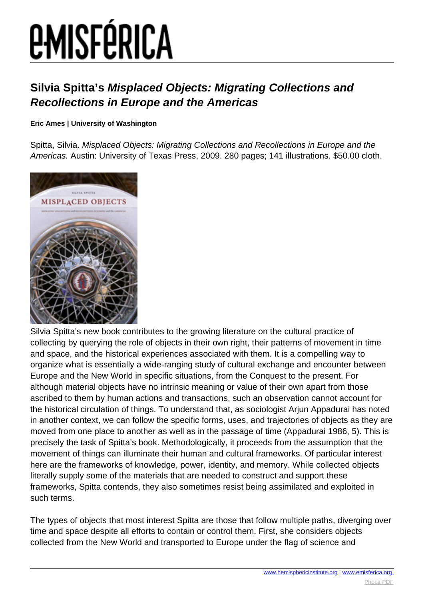# **EMISFÉRICA**

### **Silvia Spitta's Misplaced Objects: Migrating Collections and Recollections in Europe and the Americas**

### **Eric Ames | University of Washington**

Spitta, Silvia. Misplaced Objects: Migrating Collections and Recollections in Europe and the Americas. Austin: University of Texas Press, 2009. 280 pages; 141 illustrations. \$50.00 cloth.



Silvia Spitta's new book contributes to the growing literature on the cultural practice of collecting by querying the role of objects in their own right, their patterns of movement in time and space, and the historical experiences associated with them. It is a compelling way to organize what is essentially a wide-ranging study of cultural exchange and encounter between Europe and the New World in specific situations, from the Conquest to the present. For although material objects have no intrinsic meaning or value of their own apart from those ascribed to them by human actions and transactions, such an observation cannot account for the historical circulation of things. To understand that, as sociologist Arjun Appadurai has noted in another context, we can follow the specific forms, uses, and trajectories of objects as they are moved from one place to another as well as in the passage of time (Appadurai 1986, 5). This is precisely the task of Spitta's book. Methodologically, it proceeds from the assumption that the movement of things can illuminate their human and cultural frameworks. Of particular interest here are the frameworks of knowledge, power, identity, and memory. While collected objects literally supply some of the materials that are needed to construct and support these frameworks, Spitta contends, they also sometimes resist being assimilated and exploited in such terms.

The types of objects that most interest Spitta are those that follow multiple paths, diverging over time and space despite all efforts to contain or control them. First, she considers objects collected from the New World and transported to Europe under the flag of science and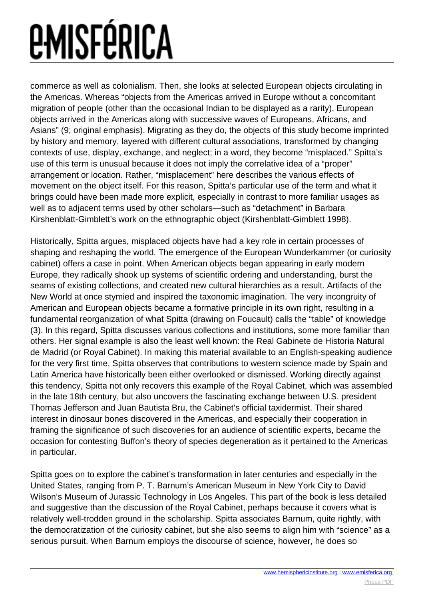## *EMISFÉRICA*

commerce as well as colonialism. Then, she looks at selected European objects circulating in the Americas. Whereas "objects from the Americas arrived in Europe without a concomitant migration of people (other than the occasional Indian to be displayed as a rarity), European objects arrived in the Americas along with successive waves of Europeans, Africans, and Asians" (9; original emphasis). Migrating as they do, the objects of this study become imprinted by history and memory, layered with different cultural associations, transformed by changing contexts of use, display, exchange, and neglect; in a word, they become "misplaced." Spitta's use of this term is unusual because it does not imply the correlative idea of a "proper" arrangement or location. Rather, "misplacement" here describes the various effects of movement on the object itself. For this reason, Spitta's particular use of the term and what it brings could have been made more explicit, especially in contrast to more familiar usages as well as to adjacent terms used by other scholars—such as "detachment" in Barbara Kirshenblatt-Gimblett's work on the ethnographic object (Kirshenblatt-Gimblett 1998).

Historically, Spitta argues, misplaced objects have had a key role in certain processes of shaping and reshaping the world. The emergence of the European Wunderkammer (or curiosity cabinet) offers a case in point. When American objects began appearing in early modern Europe, they radically shook up systems of scientific ordering and understanding, burst the seams of existing collections, and created new cultural hierarchies as a result. Artifacts of the New World at once stymied and inspired the taxonomic imagination. The very incongruity of American and European objects became a formative principle in its own right, resulting in a fundamental reorganization of what Spitta (drawing on Foucault) calls the "table" of knowledge (3). In this regard, Spitta discusses various collections and institutions, some more familiar than others. Her signal example is also the least well known: the Real Gabinete de Historia Natural de Madrid (or Royal Cabinet). In making this material available to an English-speaking audience for the very first time, Spitta observes that contributions to western science made by Spain and Latin America have historically been either overlooked or dismissed. Working directly against this tendency, Spitta not only recovers this example of the Royal Cabinet, which was assembled in the late 18th century, but also uncovers the fascinating exchange between U.S. president Thomas Jefferson and Juan Bautista Bru, the Cabinet's official taxidermist. Their shared interest in dinosaur bones discovered in the Americas, and especially their cooperation in framing the significance of such discoveries for an audience of scientific experts, became the occasion for contesting Buffon's theory of species degeneration as it pertained to the Americas in particular.

Spitta goes on to explore the cabinet's transformation in later centuries and especially in the United States, ranging from P. T. Barnum's American Museum in New York City to David Wilson's Museum of Jurassic Technology in Los Angeles. This part of the book is less detailed and suggestive than the discussion of the Royal Cabinet, perhaps because it covers what is relatively well-trodden ground in the scholarship. Spitta associates Barnum, quite rightly, with the democratization of the curiosity cabinet, but she also seems to align him with "science" as a serious pursuit. When Barnum employs the discourse of science, however, he does so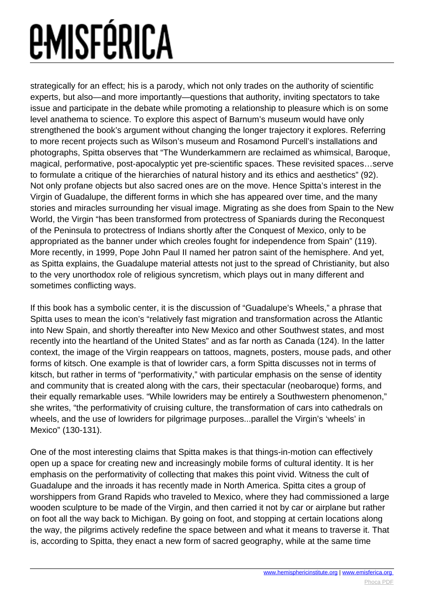## *<u>EMISFÉRICA</u>*

strategically for an effect; his is a parody, which not only trades on the authority of scientific experts, but also—and more importantly—questions that authority, inviting spectators to take issue and participate in the debate while promoting a relationship to pleasure which is on some level anathema to science. To explore this aspect of Barnum's museum would have only strengthened the book's argument without changing the longer trajectory it explores. Referring to more recent projects such as Wilson's museum and Rosamond Purcell's installations and photographs, Spitta observes that "The Wunderkammern are reclaimed as whimsical, Baroque, magical, performative, post-apocalyptic yet pre-scientific spaces. These revisited spaces…serve to formulate a critique of the hierarchies of natural history and its ethics and aesthetics" (92). Not only profane objects but also sacred ones are on the move. Hence Spitta's interest in the Virgin of Guadalupe, the different forms in which she has appeared over time, and the many stories and miracles surrounding her visual image. Migrating as she does from Spain to the New World, the Virgin "has been transformed from protectress of Spaniards during the Reconquest of the Peninsula to protectress of Indians shortly after the Conquest of Mexico, only to be appropriated as the banner under which creoles fought for independence from Spain" (119). More recently, in 1999, Pope John Paul II named her patron saint of the hemisphere. And yet, as Spitta explains, the Guadalupe material attests not just to the spread of Christianity, but also to the very unorthodox role of religious syncretism, which plays out in many different and sometimes conflicting ways.

If this book has a symbolic center, it is the discussion of "Guadalupe's Wheels," a phrase that Spitta uses to mean the icon's "relatively fast migration and transformation across the Atlantic into New Spain, and shortly thereafter into New Mexico and other Southwest states, and most recently into the heartland of the United States" and as far north as Canada (124). In the latter context, the image of the Virgin reappears on tattoos, magnets, posters, mouse pads, and other forms of kitsch. One example is that of lowrider cars, a form Spitta discusses not in terms of kitsch, but rather in terms of "performativity," with particular emphasis on the sense of identity and community that is created along with the cars, their spectacular (neobaroque) forms, and their equally remarkable uses. "While lowriders may be entirely a Southwestern phenomenon," she writes, "the performativity of cruising culture, the transformation of cars into cathedrals on wheels, and the use of lowriders for pilgrimage purposes...parallel the Virgin's 'wheels' in Mexico" (130-131).

One of the most interesting claims that Spitta makes is that things-in-motion can effectively open up a space for creating new and increasingly mobile forms of cultural identity. It is her emphasis on the performativity of collecting that makes this point vivid. Witness the cult of Guadalupe and the inroads it has recently made in North America. Spitta cites a group of worshippers from Grand Rapids who traveled to Mexico, where they had commissioned a large wooden sculpture to be made of the Virgin, and then carried it not by car or airplane but rather on foot all the way back to Michigan. By going on foot, and stopping at certain locations along the way, the pilgrims actively redefine the space between and what it means to traverse it. That is, according to Spitta, they enact a new form of sacred geography, while at the same time